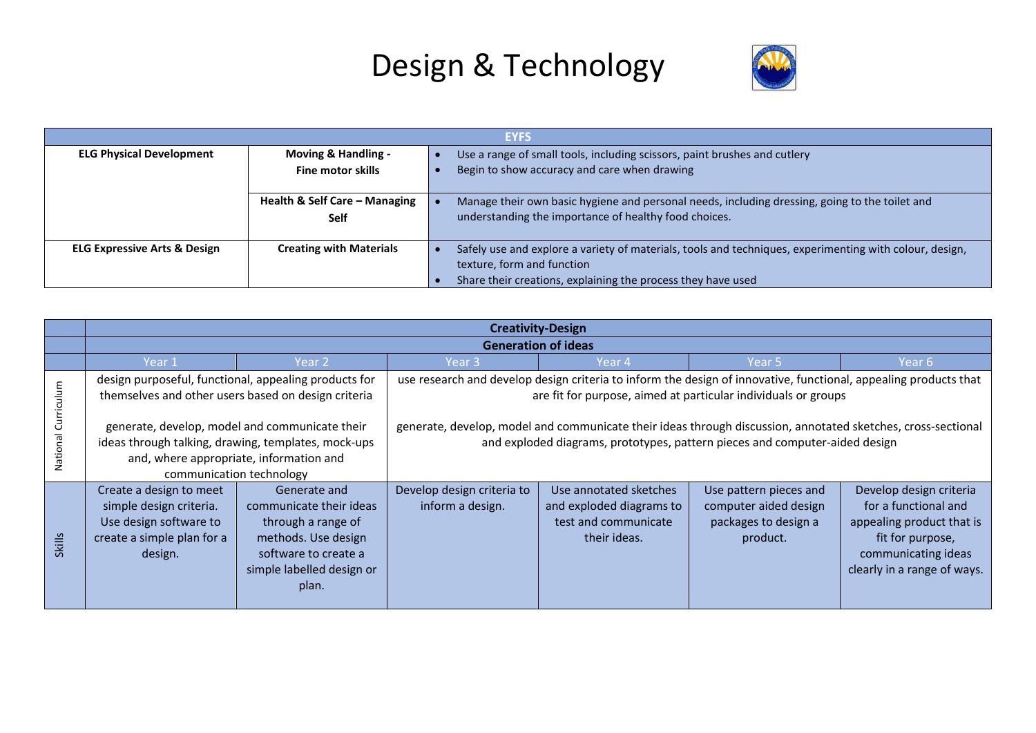

|                                         | <b>EYFS</b>                    |  |                                                                                                         |  |  |  |
|-----------------------------------------|--------------------------------|--|---------------------------------------------------------------------------------------------------------|--|--|--|
| <b>ELG Physical Development</b>         | <b>Moving &amp; Handling -</b> |  | Use a range of small tools, including scissors, paint brushes and cutlery                               |  |  |  |
| <b>Fine motor skills</b>                |                                |  | Begin to show accuracy and care when drawing                                                            |  |  |  |
|                                         |                                |  |                                                                                                         |  |  |  |
| Health & Self Care - Managing           |                                |  | Manage their own basic hygiene and personal needs, including dressing, going to the toilet and          |  |  |  |
| <b>Self</b>                             |                                |  | understanding the importance of healthy food choices.                                                   |  |  |  |
|                                         |                                |  |                                                                                                         |  |  |  |
| <b>ELG Expressive Arts &amp; Design</b> | <b>Creating with Materials</b> |  | Safely use and explore a variety of materials, tools and techniques, experimenting with colour, design, |  |  |  |
|                                         |                                |  | texture, form and function                                                                              |  |  |  |
|                                         |                                |  | Share their creations, explaining the process they have used                                            |  |  |  |

|                        | <b>Creativity-Design</b>                                                                                              |                                                                                                                                                                                                                                       |                                                |                                                                                                                                                                                                                                                                                                                                                                                   |                                                                                     |                                                                                                                                                        |
|------------------------|-----------------------------------------------------------------------------------------------------------------------|---------------------------------------------------------------------------------------------------------------------------------------------------------------------------------------------------------------------------------------|------------------------------------------------|-----------------------------------------------------------------------------------------------------------------------------------------------------------------------------------------------------------------------------------------------------------------------------------------------------------------------------------------------------------------------------------|-------------------------------------------------------------------------------------|--------------------------------------------------------------------------------------------------------------------------------------------------------|
|                        |                                                                                                                       |                                                                                                                                                                                                                                       |                                                | <b>Generation of ideas</b>                                                                                                                                                                                                                                                                                                                                                        |                                                                                     |                                                                                                                                                        |
|                        | Year 1                                                                                                                | Year 2                                                                                                                                                                                                                                | Year 3                                         | Year 4                                                                                                                                                                                                                                                                                                                                                                            | Year 5                                                                              | Year 6                                                                                                                                                 |
| Curriculum<br>National | themselves and other users based on design criteria                                                                   | design purposeful, functional, appealing products for<br>generate, develop, model and communicate their<br>ideas through talking, drawing, templates, mock-ups<br>and, where appropriate, information and<br>communication technology |                                                | use research and develop design criteria to inform the design of innovative, functional, appealing products that<br>are fit for purpose, aimed at particular individuals or groups<br>generate, develop, model and communicate their ideas through discussion, annotated sketches, cross-sectional<br>and exploded diagrams, prototypes, pattern pieces and computer-aided design |                                                                                     |                                                                                                                                                        |
| <b>Skills</b>          | Create a design to meet<br>simple design criteria.<br>Use design software to<br>create a simple plan for a<br>design. | Generate and<br>communicate their ideas<br>through a range of<br>methods. Use design<br>software to create a<br>simple labelled design or<br>plan.                                                                                    | Develop design criteria to<br>inform a design. | Use annotated sketches<br>and exploded diagrams to<br>test and communicate<br>their ideas.                                                                                                                                                                                                                                                                                        | Use pattern pieces and<br>computer aided design<br>packages to design a<br>product. | Develop design criteria<br>for a functional and<br>appealing product that is<br>fit for purpose,<br>communicating ideas<br>clearly in a range of ways. |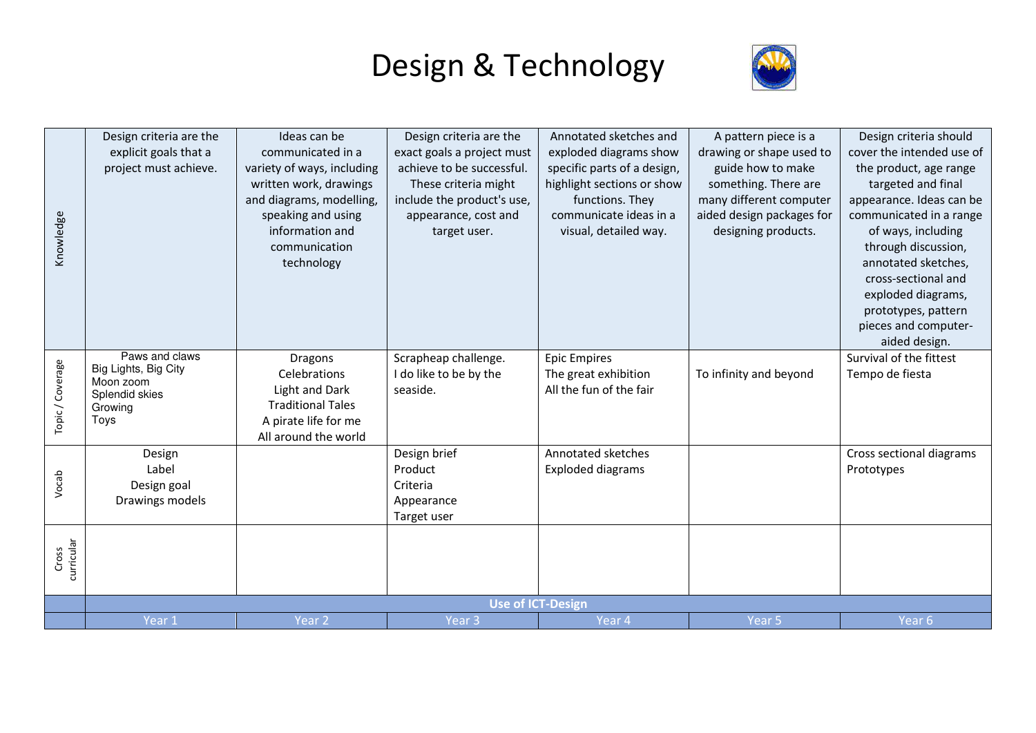

| Knowledge           | Design criteria are the<br>explicit goals that a<br>project must achieve.                | Ideas can be<br>communicated in a<br>variety of ways, including<br>written work, drawings<br>and diagrams, modelling,<br>speaking and using<br>information and<br>communication<br>technology | Design criteria are the<br>exact goals a project must<br>achieve to be successful.<br>These criteria might<br>include the product's use,<br>appearance, cost and<br>target user. | Annotated sketches and<br>exploded diagrams show<br>specific parts of a design,<br>highlight sections or show<br>functions. They<br>communicate ideas in a<br>visual, detailed way. | A pattern piece is a<br>drawing or shape used to<br>guide how to make<br>something. There are<br>many different computer<br>aided design packages for<br>designing products. | Design criteria should<br>cover the intended use of<br>the product, age range<br>targeted and final<br>appearance. Ideas can be<br>communicated in a range<br>of ways, including<br>through discussion,<br>annotated sketches,<br>cross-sectional and<br>exploded diagrams,<br>prototypes, pattern<br>pieces and computer-<br>aided design. |
|---------------------|------------------------------------------------------------------------------------------|-----------------------------------------------------------------------------------------------------------------------------------------------------------------------------------------------|----------------------------------------------------------------------------------------------------------------------------------------------------------------------------------|-------------------------------------------------------------------------------------------------------------------------------------------------------------------------------------|------------------------------------------------------------------------------------------------------------------------------------------------------------------------------|---------------------------------------------------------------------------------------------------------------------------------------------------------------------------------------------------------------------------------------------------------------------------------------------------------------------------------------------|
| Topic / Coverage    | Paws and claws<br>Big Lights, Big City<br>Moon zoom<br>Splendid skies<br>Growing<br>Toys | <b>Dragons</b><br>Celebrations<br>Light and Dark<br><b>Traditional Tales</b><br>A pirate life for me<br>All around the world                                                                  | Scrapheap challenge.<br>I do like to be by the<br>seaside.                                                                                                                       | <b>Epic Empires</b><br>The great exhibition<br>All the fun of the fair                                                                                                              | To infinity and beyond                                                                                                                                                       | Survival of the fittest<br>Tempo de fiesta                                                                                                                                                                                                                                                                                                  |
| Vocab               | Design<br>Label<br>Design goal<br>Drawings models                                        |                                                                                                                                                                                               | Design brief<br>Product<br>Criteria<br>Appearance<br>Target user                                                                                                                 | Annotated sketches<br><b>Exploded diagrams</b>                                                                                                                                      |                                                                                                                                                                              | Cross sectional diagrams<br>Prototypes                                                                                                                                                                                                                                                                                                      |
| Cross<br>curricular |                                                                                          |                                                                                                                                                                                               |                                                                                                                                                                                  |                                                                                                                                                                                     |                                                                                                                                                                              |                                                                                                                                                                                                                                                                                                                                             |
|                     |                                                                                          |                                                                                                                                                                                               | <b>Use of ICT-Design</b>                                                                                                                                                         |                                                                                                                                                                                     |                                                                                                                                                                              |                                                                                                                                                                                                                                                                                                                                             |
|                     | Year 1                                                                                   | Year <sub>2</sub>                                                                                                                                                                             | Year <sub>3</sub>                                                                                                                                                                | Year 4                                                                                                                                                                              | Year <sub>5</sub>                                                                                                                                                            | Year <sub>6</sub>                                                                                                                                                                                                                                                                                                                           |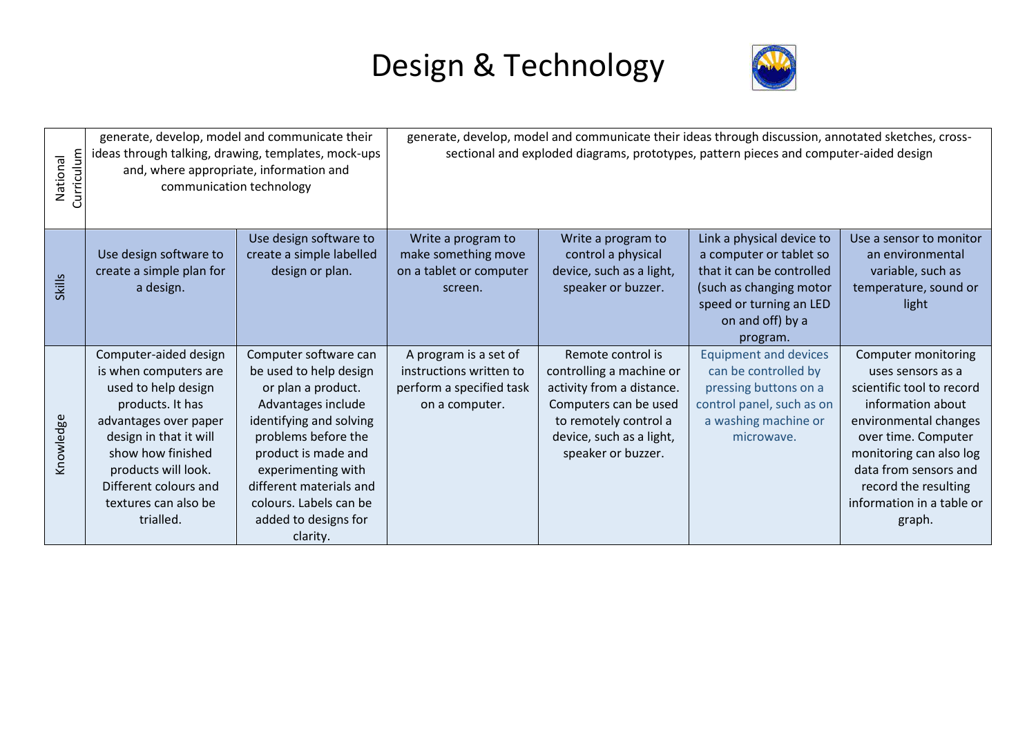

| Curriculum<br>National | communication technology                                                                                                                                                                                                                               | generate, develop, model and communicate their<br>ideas through talking, drawing, templates, mock-ups<br>and, where appropriate, information and                                                                                                                                    | generate, develop, model and communicate their ideas through discussion, annotated sketches, cross-<br>sectional and exploded diagrams, prototypes, pattern pieces and computer-aided design |                                                                                                                                                                                |                                                                                                                                                                         |                                                                                                                                                                                                                                                               |  |
|------------------------|--------------------------------------------------------------------------------------------------------------------------------------------------------------------------------------------------------------------------------------------------------|-------------------------------------------------------------------------------------------------------------------------------------------------------------------------------------------------------------------------------------------------------------------------------------|----------------------------------------------------------------------------------------------------------------------------------------------------------------------------------------------|--------------------------------------------------------------------------------------------------------------------------------------------------------------------------------|-------------------------------------------------------------------------------------------------------------------------------------------------------------------------|---------------------------------------------------------------------------------------------------------------------------------------------------------------------------------------------------------------------------------------------------------------|--|
| <b>Skills</b>          | Use design software to<br>create a simple plan for<br>a design.                                                                                                                                                                                        | Use design software to<br>create a simple labelled<br>design or plan.                                                                                                                                                                                                               | Write a program to<br>make something move<br>on a tablet or computer<br>screen.                                                                                                              | Write a program to<br>control a physical<br>device, such as a light,<br>speaker or buzzer.                                                                                     | Link a physical device to<br>a computer or tablet so<br>that it can be controlled<br>(such as changing motor<br>speed or turning an LED<br>on and off) by a<br>program. | Use a sensor to monitor<br>an environmental<br>variable, such as<br>temperature, sound or<br>light                                                                                                                                                            |  |
| Knowledge              | Computer-aided design<br>is when computers are<br>used to help design<br>products. It has<br>advantages over paper<br>design in that it will<br>show how finished<br>products will look.<br>Different colours and<br>textures can also be<br>trialled. | Computer software can<br>be used to help design<br>or plan a product.<br>Advantages include<br>identifying and solving<br>problems before the<br>product is made and<br>experimenting with<br>different materials and<br>colours. Labels can be<br>added to designs for<br>clarity. | A program is a set of<br>instructions written to<br>perform a specified task<br>on a computer.                                                                                               | Remote control is<br>controlling a machine or<br>activity from a distance.<br>Computers can be used<br>to remotely control a<br>device, such as a light,<br>speaker or buzzer. | <b>Equipment and devices</b><br>can be controlled by<br>pressing buttons on a<br>control panel, such as on<br>a washing machine or<br>microwave.                        | Computer monitoring<br>uses sensors as a<br>scientific tool to record<br>information about<br>environmental changes<br>over time. Computer<br>monitoring can also log<br>data from sensors and<br>record the resulting<br>information in a table or<br>graph. |  |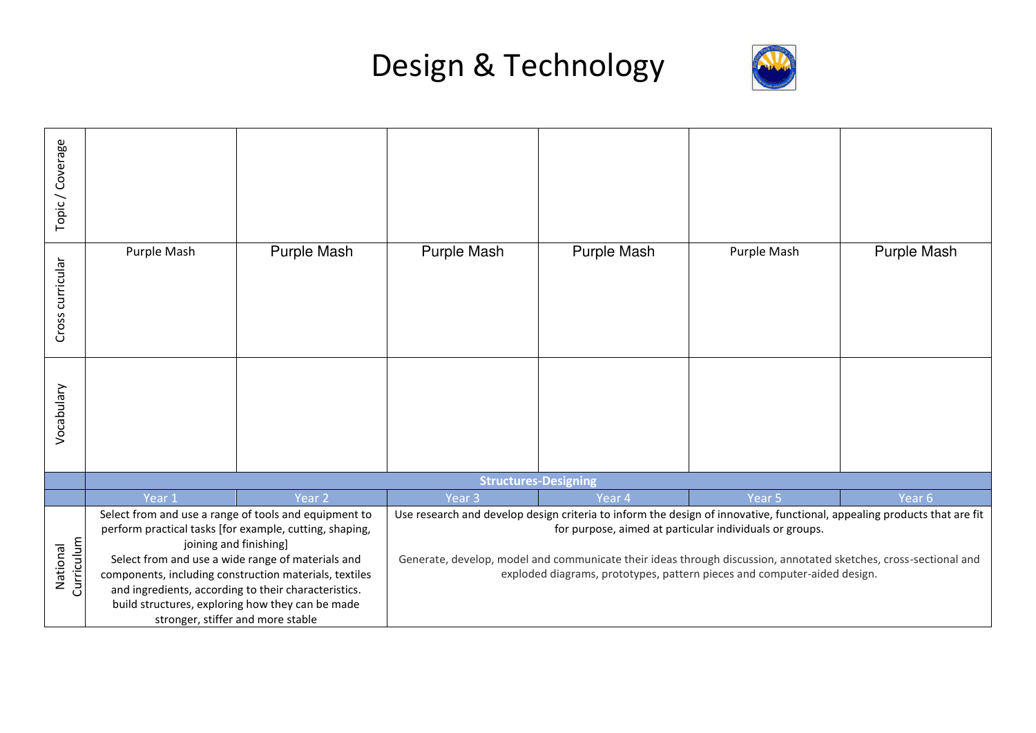



| Topic / Coverage       |                                                                                                                                                                                                                                                                                                                                                                                                            |                   |                                                                                                                                                                                                                                                                                                                                                                                     |             |             |             |
|------------------------|------------------------------------------------------------------------------------------------------------------------------------------------------------------------------------------------------------------------------------------------------------------------------------------------------------------------------------------------------------------------------------------------------------|-------------------|-------------------------------------------------------------------------------------------------------------------------------------------------------------------------------------------------------------------------------------------------------------------------------------------------------------------------------------------------------------------------------------|-------------|-------------|-------------|
| Cross curricular       | Purple Mash                                                                                                                                                                                                                                                                                                                                                                                                | Purple Mash       | Purple Mash                                                                                                                                                                                                                                                                                                                                                                         | Purple Mash | Purple Mash | Purple Mash |
| Vocabulary             |                                                                                                                                                                                                                                                                                                                                                                                                            |                   |                                                                                                                                                                                                                                                                                                                                                                                     |             |             |             |
|                        |                                                                                                                                                                                                                                                                                                                                                                                                            |                   | <b>Structures-Designing</b>                                                                                                                                                                                                                                                                                                                                                         |             |             |             |
|                        | Year 1                                                                                                                                                                                                                                                                                                                                                                                                     | Year <sub>2</sub> | Year <sub>3</sub>                                                                                                                                                                                                                                                                                                                                                                   | Year 4      | Year 5      | Year 6      |
| Curriculum<br>National | Select from and use a range of tools and equipment to<br>perform practical tasks [for example, cutting, shaping,<br>joining and finishing]<br>Select from and use a wide range of materials and<br>components, including construction materials, textiles<br>and ingredients, according to their characteristics.<br>build structures, exploring how they can be made<br>stronger, stiffer and more stable |                   | Use research and develop design criteria to inform the design of innovative, functional, appealing products that are fit<br>for purpose, aimed at particular individuals or groups.<br>Generate, develop, model and communicate their ideas through discussion, annotated sketches, cross-sectional and<br>exploded diagrams, prototypes, pattern pieces and computer-aided design. |             |             |             |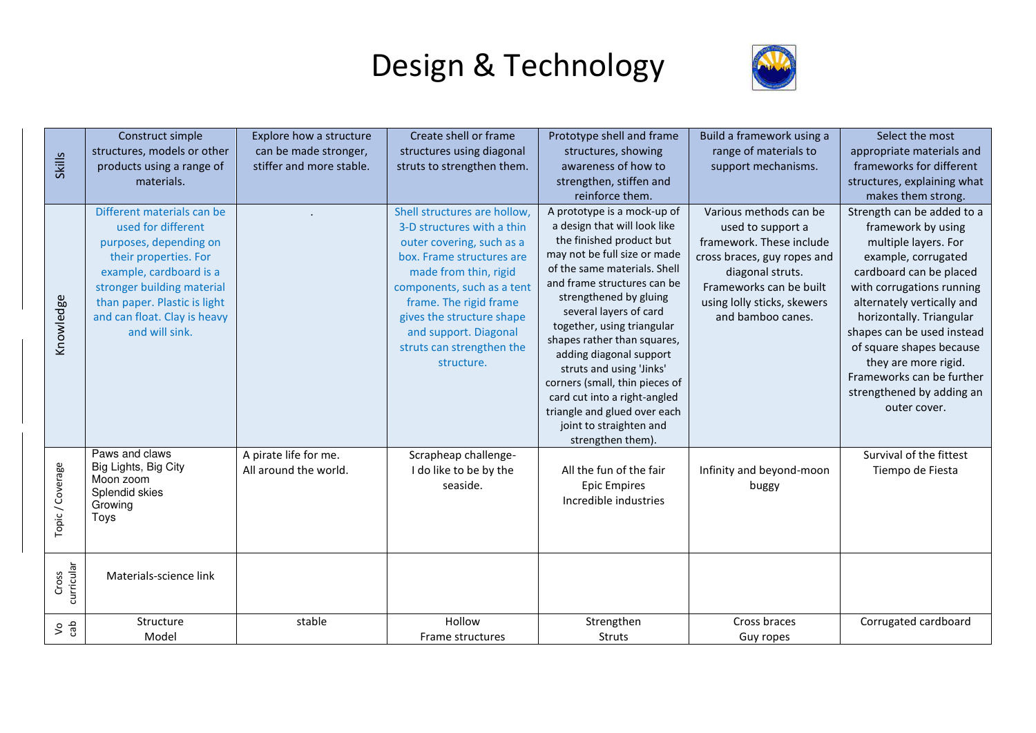

| <b>Skills</b>       | Construct simple<br>structures, models or other<br>products using a range of<br>materials.                                                                                                                                                     | Explore how a structure<br>can be made stronger,<br>stiffer and more stable. | Create shell or frame<br>structures using diagonal<br>struts to strengthen them.                                                                                                                                                                                                                       | Prototype shell and frame<br>structures, showing<br>awareness of how to<br>strengthen, stiffen and<br>reinforce them.                                                                                                                                                                                                                                                                                                                                                                                            | Build a framework using a<br>range of materials to<br>support mechanisms.                                                                                                                                 | Select the most<br>appropriate materials and<br>frameworks for different<br>structures, explaining what<br>makes them strong.                                                                                                                                                                                                                                                 |
|---------------------|------------------------------------------------------------------------------------------------------------------------------------------------------------------------------------------------------------------------------------------------|------------------------------------------------------------------------------|--------------------------------------------------------------------------------------------------------------------------------------------------------------------------------------------------------------------------------------------------------------------------------------------------------|------------------------------------------------------------------------------------------------------------------------------------------------------------------------------------------------------------------------------------------------------------------------------------------------------------------------------------------------------------------------------------------------------------------------------------------------------------------------------------------------------------------|-----------------------------------------------------------------------------------------------------------------------------------------------------------------------------------------------------------|-------------------------------------------------------------------------------------------------------------------------------------------------------------------------------------------------------------------------------------------------------------------------------------------------------------------------------------------------------------------------------|
| Knowledge           | Different materials can be<br>used for different<br>purposes, depending on<br>their properties. For<br>example, cardboard is a<br>stronger building material<br>than paper. Plastic is light<br>and can float. Clay is heavy<br>and will sink. |                                                                              | Shell structures are hollow,<br>3-D structures with a thin<br>outer covering, such as a<br>box. Frame structures are<br>made from thin, rigid<br>components, such as a tent<br>frame. The rigid frame<br>gives the structure shape<br>and support. Diagonal<br>struts can strengthen the<br>structure. | A prototype is a mock-up of<br>a design that will look like<br>the finished product but<br>may not be full size or made<br>of the same materials. Shell<br>and frame structures can be<br>strengthened by gluing<br>several layers of card<br>together, using triangular<br>shapes rather than squares,<br>adding diagonal support<br>struts and using 'Jinks'<br>corners (small, thin pieces of<br>card cut into a right-angled<br>triangle and glued over each<br>joint to straighten and<br>strengthen them). | Various methods can be<br>used to support a<br>framework. These include<br>cross braces, guy ropes and<br>diagonal struts.<br>Frameworks can be built<br>using lolly sticks, skewers<br>and bamboo canes. | Strength can be added to a<br>framework by using<br>multiple layers. For<br>example, corrugated<br>cardboard can be placed<br>with corrugations running<br>alternately vertically and<br>horizontally. Triangular<br>shapes can be used instead<br>of square shapes because<br>they are more rigid.<br>Frameworks can be further<br>strengthened by adding an<br>outer cover. |
| Topic/Coverage      | Paws and claws<br>Big Lights, Big City<br>Moon zoom<br>Splendid skies<br>Growing<br>Toys                                                                                                                                                       | A pirate life for me.<br>All around the world.                               | Scrapheap challenge-<br>I do like to be by the<br>seaside.                                                                                                                                                                                                                                             | All the fun of the fair<br><b>Epic Empires</b><br>Incredible industries                                                                                                                                                                                                                                                                                                                                                                                                                                          | Infinity and beyond-moon<br>buggy                                                                                                                                                                         | Survival of the fittest<br>Tiempo de Fiesta                                                                                                                                                                                                                                                                                                                                   |
| curricular<br>Cross | Materials-science link                                                                                                                                                                                                                         |                                                                              |                                                                                                                                                                                                                                                                                                        |                                                                                                                                                                                                                                                                                                                                                                                                                                                                                                                  |                                                                                                                                                                                                           |                                                                                                                                                                                                                                                                                                                                                                               |
| 5 <sup>o</sup>      | Structure<br>Model                                                                                                                                                                                                                             | stable                                                                       | Hollow<br>Frame structures                                                                                                                                                                                                                                                                             | Strengthen<br>Struts                                                                                                                                                                                                                                                                                                                                                                                                                                                                                             | Cross braces<br>Guy ropes                                                                                                                                                                                 | Corrugated cardboard                                                                                                                                                                                                                                                                                                                                                          |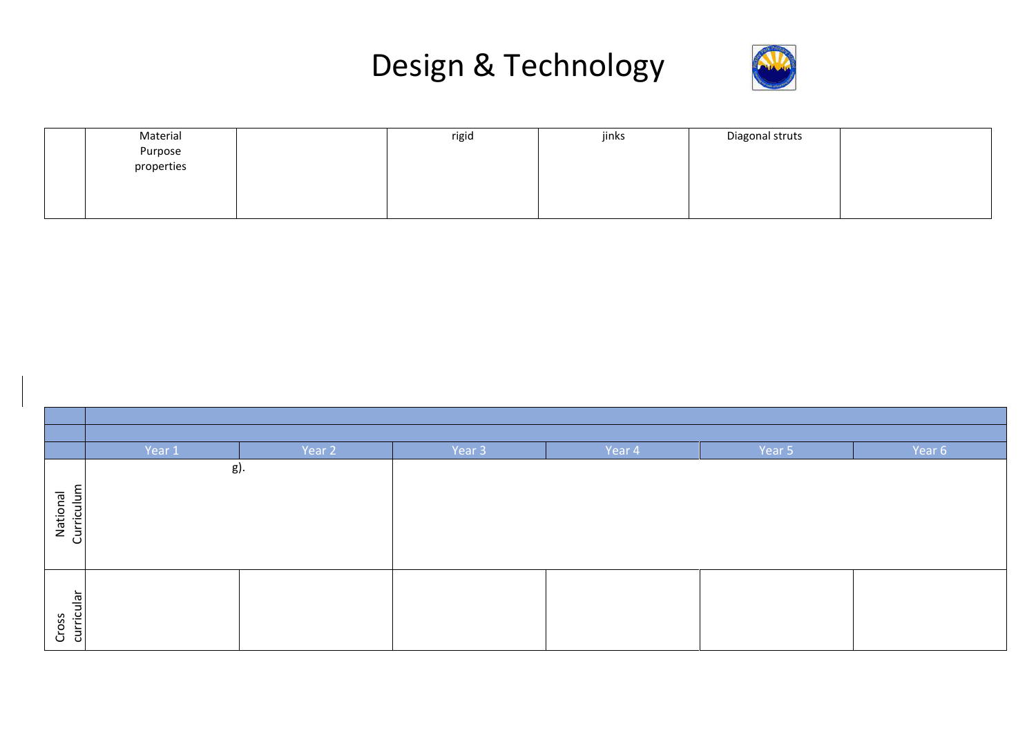

| Material   | rigid | jinks | Diagonal struts |  |
|------------|-------|-------|-----------------|--|
| Purpose    |       |       |                 |  |
| properties |       |       |                 |  |
|            |       |       |                 |  |
|            |       |       |                 |  |
|            |       |       |                 |  |

|                        | Year 1 | Year 2 | Year 3 | Year 4 | Year 5 | Year 6 |
|------------------------|--------|--------|--------|--------|--------|--------|
|                        | g).    |        |        |        |        |        |
| Curriculum<br>National |        |        |        |        |        |        |
| Cross<br>curricular    |        |        |        |        |        |        |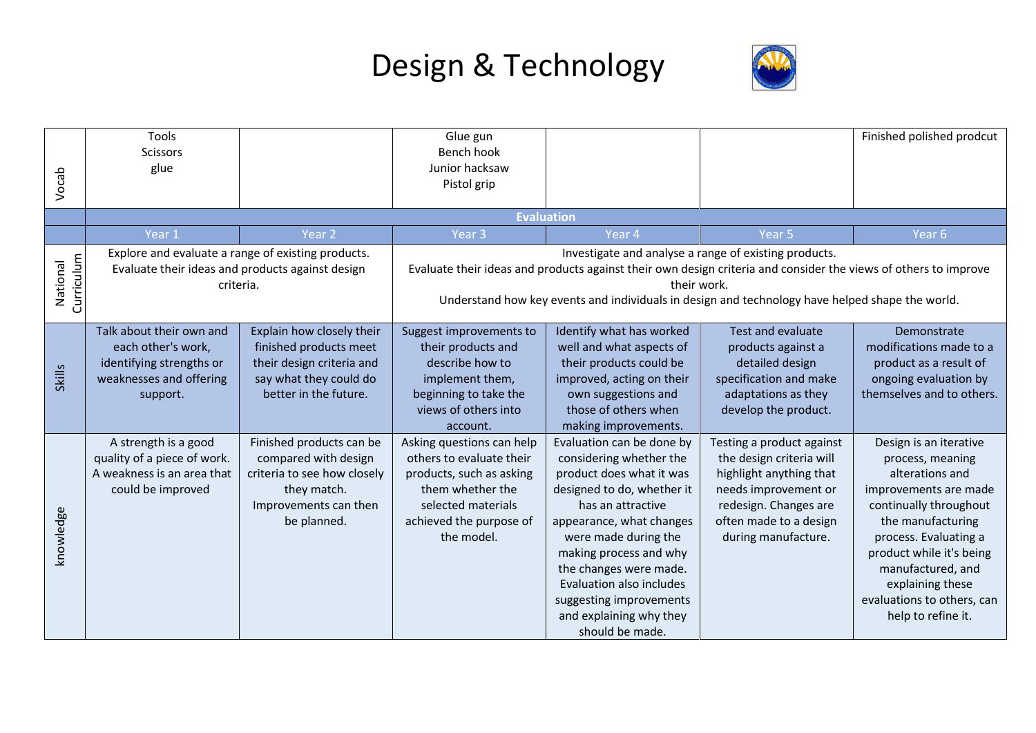

| Vocab                  | Tools<br><b>Scissors</b><br>glue                                                                                    |                                                                                                                                        | Glue gun<br>Bench hook<br>Junior hacksaw<br>Pistol grip                                                                                                              |                                                                                                                                                                                                                                                                                                                                                         |                                                                                                                                                                                    | Finished polished prodcut                                                                                                                                                                                                                                                               |  |
|------------------------|---------------------------------------------------------------------------------------------------------------------|----------------------------------------------------------------------------------------------------------------------------------------|----------------------------------------------------------------------------------------------------------------------------------------------------------------------|---------------------------------------------------------------------------------------------------------------------------------------------------------------------------------------------------------------------------------------------------------------------------------------------------------------------------------------------------------|------------------------------------------------------------------------------------------------------------------------------------------------------------------------------------|-----------------------------------------------------------------------------------------------------------------------------------------------------------------------------------------------------------------------------------------------------------------------------------------|--|
|                        |                                                                                                                     |                                                                                                                                        | <b>Evaluation</b>                                                                                                                                                    |                                                                                                                                                                                                                                                                                                                                                         |                                                                                                                                                                                    |                                                                                                                                                                                                                                                                                         |  |
|                        | Year 1                                                                                                              | Year <sub>2</sub>                                                                                                                      | Year <sub>3</sub>                                                                                                                                                    | Year <sub>4</sub>                                                                                                                                                                                                                                                                                                                                       | Year <sub>5</sub>                                                                                                                                                                  | Year <sub>6</sub>                                                                                                                                                                                                                                                                       |  |
| Curriculum<br>National | Explore and evaluate a range of existing products.<br>Evaluate their ideas and products against design<br>criteria. |                                                                                                                                        |                                                                                                                                                                      | Investigate and analyse a range of existing products.<br>Evaluate their ideas and products against their own design criteria and consider the views of others to improve<br>their work.<br>Understand how key events and individuals in design and technology have helped shape the world.                                                              |                                                                                                                                                                                    |                                                                                                                                                                                                                                                                                         |  |
| <b>Skills</b>          | Talk about their own and<br>each other's work,<br>identifying strengths or<br>weaknesses and offering<br>support.   | Explain how closely their<br>finished products meet<br>their design criteria and<br>say what they could do<br>better in the future.    | Suggest improvements to<br>their products and<br>describe how to<br>implement them,<br>beginning to take the<br>views of others into<br>account.                     | Identify what has worked<br>well and what aspects of<br>their products could be<br>improved, acting on their<br>own suggestions and<br>those of others when<br>making improvements.                                                                                                                                                                     | Test and evaluate<br>products against a<br>detailed design<br>specification and make<br>adaptations as they<br>develop the product.                                                | Demonstrate<br>modifications made to a<br>product as a result of<br>ongoing evaluation by<br>themselves and to others.                                                                                                                                                                  |  |
| knowledge              | A strength is a good<br>quality of a piece of work.<br>A weakness is an area that<br>could be improved              | Finished products can be<br>compared with design<br>criteria to see how closely<br>they match.<br>Improvements can then<br>be planned. | Asking questions can help<br>others to evaluate their<br>products, such as asking<br>them whether the<br>selected materials<br>achieved the purpose of<br>the model. | Evaluation can be done by<br>considering whether the<br>product does what it was<br>designed to do, whether it<br>has an attractive<br>appearance, what changes<br>were made during the<br>making process and why<br>the changes were made.<br><b>Evaluation also includes</b><br>suggesting improvements<br>and explaining why they<br>should be made. | Testing a product against<br>the design criteria will<br>highlight anything that<br>needs improvement or<br>redesign. Changes are<br>often made to a design<br>during manufacture. | Design is an iterative<br>process, meaning<br>alterations and<br>improvements are made<br>continually throughout<br>the manufacturing<br>process. Evaluating a<br>product while it's being<br>manufactured, and<br>explaining these<br>evaluations to others, can<br>help to refine it. |  |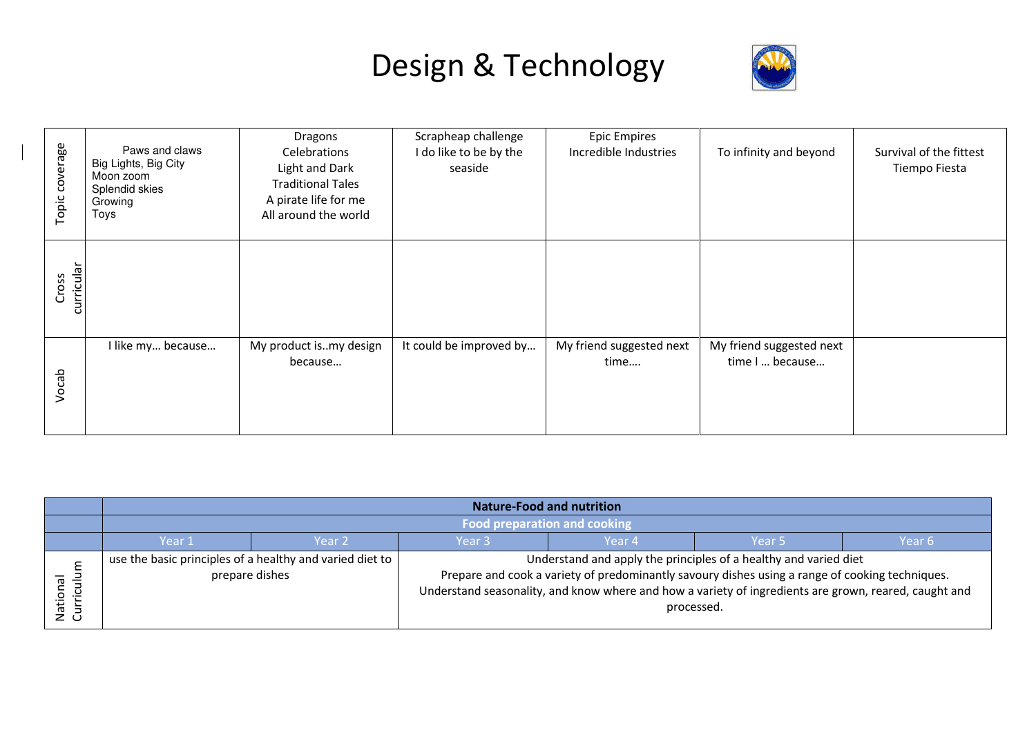

| Topic coverage      | Paws and claws<br>Big Lights, Big City<br>Moon zoom<br>Splendid skies<br>Growing<br>Toys | Dragons<br>Celebrations<br>Light and Dark<br><b>Traditional Tales</b><br>A pirate life for me<br>All around the world | Scrapheap challenge<br>I do like to be by the<br>seaside | <b>Epic Empires</b><br>Incredible Industries | To infinity and beyond                      | Survival of the fittest<br>Tiempo Fiesta |
|---------------------|------------------------------------------------------------------------------------------|-----------------------------------------------------------------------------------------------------------------------|----------------------------------------------------------|----------------------------------------------|---------------------------------------------|------------------------------------------|
| curricular<br>Cross |                                                                                          |                                                                                                                       |                                                          |                                              |                                             |                                          |
| Vocab               | I like my because                                                                        | My product ismy design<br>because                                                                                     | It could be improved by                                  | My friend suggested next<br>time             | My friend suggested next<br>time I  because |                                          |

|                    | <b>Nature-Food and nutrition</b>                                                                           |                                                          |  |  |                                                                                                                                                                                                                                                                                            |  |  |
|--------------------|------------------------------------------------------------------------------------------------------------|----------------------------------------------------------|--|--|--------------------------------------------------------------------------------------------------------------------------------------------------------------------------------------------------------------------------------------------------------------------------------------------|--|--|
|                    | <b>Food preparation and cooking</b><br>Year 3<br>Year <sub>2</sub><br>Year 4<br>Year 1<br>Year 5<br>Year 6 |                                                          |  |  |                                                                                                                                                                                                                                                                                            |  |  |
|                    |                                                                                                            |                                                          |  |  |                                                                                                                                                                                                                                                                                            |  |  |
| ⊇.<br>Nati<br>Curr | prepare dishes                                                                                             | use the basic principles of a healthy and varied diet to |  |  | Understand and apply the principles of a healthy and varied diet<br>Prepare and cook a variety of predominantly savoury dishes using a range of cooking techniques.<br>Understand seasonality, and know where and how a variety of ingredients are grown, reared, caught and<br>processed. |  |  |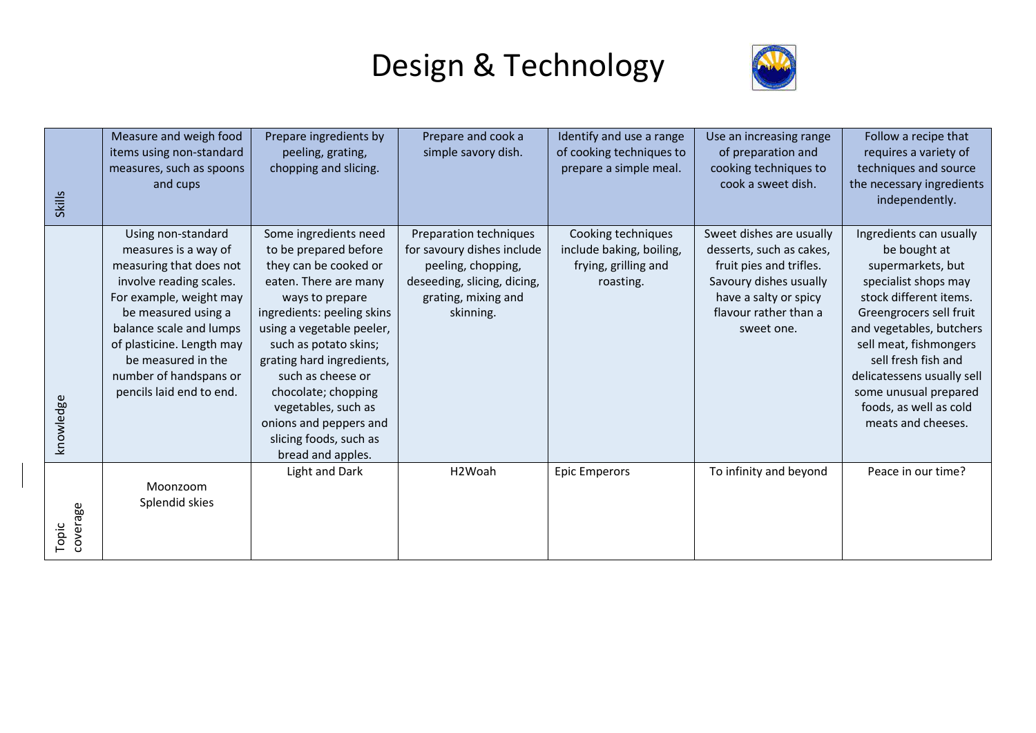

| <b>Skills</b>     | Measure and weigh food<br>items using non-standard<br>measures, such as spoons<br>and cups                                                                                                                                                                                             | Prepare ingredients by<br>peeling, grating,<br>chopping and slicing.                                                                                                                                                                                                                                                                                                             | Prepare and cook a<br>simple savory dish.                                                                                                     | Identify and use a range<br>of cooking techniques to<br>prepare a simple meal.      | Use an increasing range<br>of preparation and<br>cooking techniques to<br>cook a sweet dish.                                                                              | Follow a recipe that<br>requires a variety of<br>techniques and source<br>the necessary ingredients<br>independently.                                                                                                                                                                                                         |
|-------------------|----------------------------------------------------------------------------------------------------------------------------------------------------------------------------------------------------------------------------------------------------------------------------------------|----------------------------------------------------------------------------------------------------------------------------------------------------------------------------------------------------------------------------------------------------------------------------------------------------------------------------------------------------------------------------------|-----------------------------------------------------------------------------------------------------------------------------------------------|-------------------------------------------------------------------------------------|---------------------------------------------------------------------------------------------------------------------------------------------------------------------------|-------------------------------------------------------------------------------------------------------------------------------------------------------------------------------------------------------------------------------------------------------------------------------------------------------------------------------|
| knowledge         | Using non-standard<br>measures is a way of<br>measuring that does not<br>involve reading scales.<br>For example, weight may<br>be measured using a<br>balance scale and lumps<br>of plasticine. Length may<br>be measured in the<br>number of handspans or<br>pencils laid end to end. | Some ingredients need<br>to be prepared before<br>they can be cooked or<br>eaten. There are many<br>ways to prepare<br>ingredients: peeling skins<br>using a vegetable peeler,<br>such as potato skins;<br>grating hard ingredients,<br>such as cheese or<br>chocolate; chopping<br>vegetables, such as<br>onions and peppers and<br>slicing foods, such as<br>bread and apples. | Preparation techniques<br>for savoury dishes include<br>peeling, chopping,<br>deseeding, slicing, dicing,<br>grating, mixing and<br>skinning. | Cooking techniques<br>include baking, boiling,<br>frying, grilling and<br>roasting. | Sweet dishes are usually<br>desserts, such as cakes,<br>fruit pies and trifles.<br>Savoury dishes usually<br>have a salty or spicy<br>flavour rather than a<br>sweet one. | Ingredients can usually<br>be bought at<br>supermarkets, but<br>specialist shops may<br>stock different items.<br>Greengrocers sell fruit<br>and vegetables, butchers<br>sell meat, fishmongers<br>sell fresh fish and<br>delicatessens usually sell<br>some unusual prepared<br>foods, as well as cold<br>meats and cheeses. |
| coverage<br>Topic | Moonzoom<br>Splendid skies                                                                                                                                                                                                                                                             | Light and Dark                                                                                                                                                                                                                                                                                                                                                                   | H2Woah                                                                                                                                        | <b>Epic Emperors</b>                                                                | To infinity and beyond                                                                                                                                                    | Peace in our time?                                                                                                                                                                                                                                                                                                            |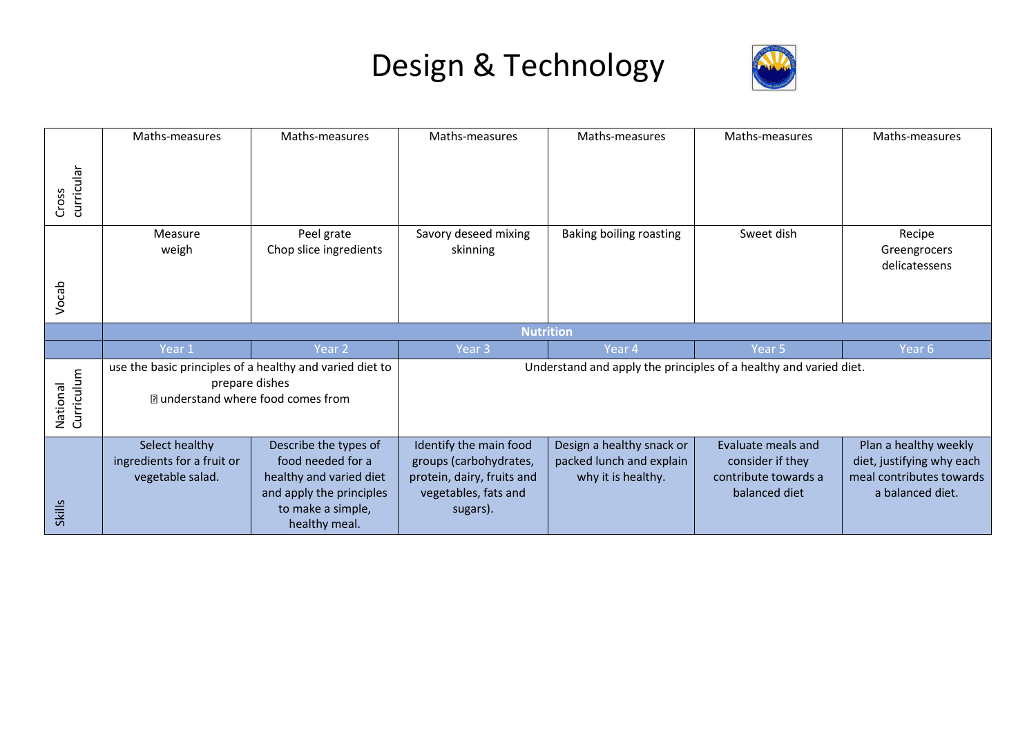

|                        | Maths-measures                                                                                                          | Maths-measures                                                                                                                          | Maths-measures                                                                                                     | Maths-measures                                                              | Maths-measures                                                                  | Maths-measures                                                                                     |  |
|------------------------|-------------------------------------------------------------------------------------------------------------------------|-----------------------------------------------------------------------------------------------------------------------------------------|--------------------------------------------------------------------------------------------------------------------|-----------------------------------------------------------------------------|---------------------------------------------------------------------------------|----------------------------------------------------------------------------------------------------|--|
| curricular<br>Cross    |                                                                                                                         |                                                                                                                                         |                                                                                                                    |                                                                             |                                                                                 |                                                                                                    |  |
|                        | Measure<br>weigh                                                                                                        | Peel grate<br>Chop slice ingredients                                                                                                    | Savory deseed mixing<br>skinning                                                                                   | Baking boiling roasting                                                     | Sweet dish                                                                      | Recipe<br>Greengrocers<br>delicatessens                                                            |  |
| Vocab                  |                                                                                                                         |                                                                                                                                         |                                                                                                                    |                                                                             |                                                                                 |                                                                                                    |  |
|                        |                                                                                                                         |                                                                                                                                         | <b>Nutrition</b>                                                                                                   |                                                                             |                                                                                 |                                                                                                    |  |
|                        | Year 1                                                                                                                  | Year 2                                                                                                                                  | Year <sub>3</sub>                                                                                                  | Year 4                                                                      | Year 5                                                                          | Year 6                                                                                             |  |
| National<br>Curriculum | use the basic principles of a healthy and varied diet to<br>prepare dishes<br><b>I</b> understand where food comes from |                                                                                                                                         |                                                                                                                    | Understand and apply the principles of a healthy and varied diet.           |                                                                                 |                                                                                                    |  |
| Skills                 | Select healthy<br>ingredients for a fruit or<br>vegetable salad.                                                        | Describe the types of<br>food needed for a<br>healthy and varied diet<br>and apply the principles<br>to make a simple,<br>healthy meal. | Identify the main food<br>groups (carbohydrates,<br>protein, dairy, fruits and<br>vegetables, fats and<br>sugars). | Design a healthy snack or<br>packed lunch and explain<br>why it is healthy. | Evaluate meals and<br>consider if they<br>contribute towards a<br>balanced diet | Plan a healthy weekly<br>diet, justifying why each<br>meal contributes towards<br>a balanced diet. |  |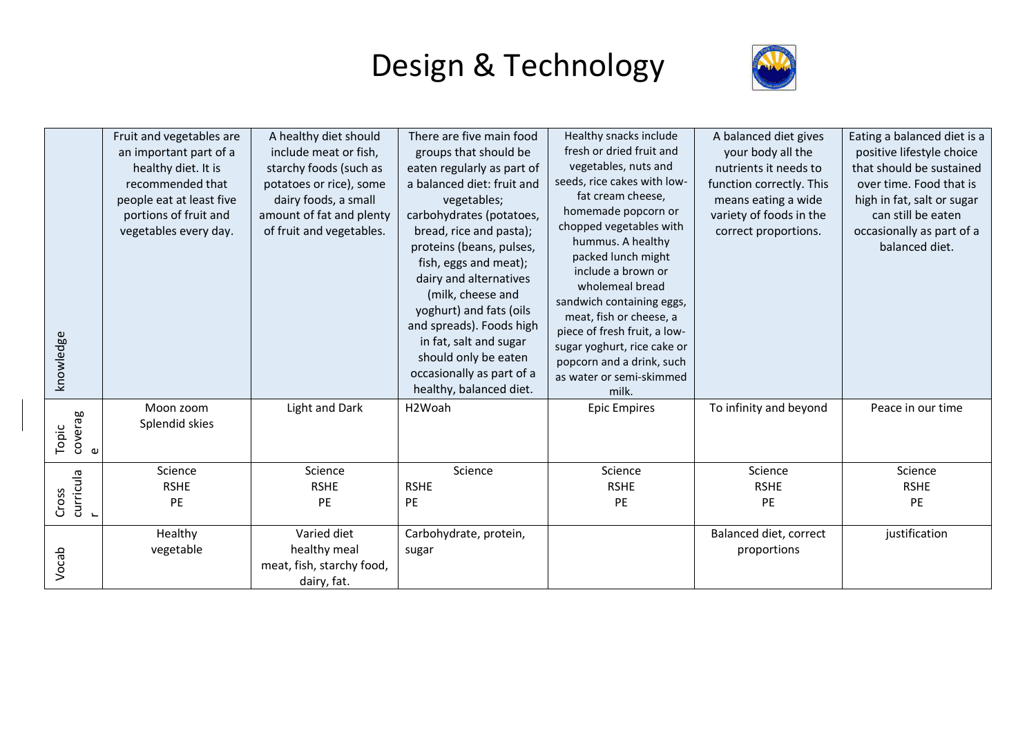

| knowledge                    | Fruit and vegetables are<br>an important part of a<br>healthy diet. It is<br>recommended that<br>people eat at least five<br>portions of fruit and<br>vegetables every day. | A healthy diet should<br>include meat or fish,<br>starchy foods (such as<br>potatoes or rice), some<br>dairy foods, a small<br>amount of fat and plenty<br>of fruit and vegetables. | There are five main food<br>groups that should be<br>eaten regularly as part of<br>a balanced diet: fruit and<br>vegetables;<br>carbohydrates (potatoes,<br>bread, rice and pasta);<br>proteins (beans, pulses,<br>fish, eggs and meat);<br>dairy and alternatives<br>(milk, cheese and<br>yoghurt) and fats (oils<br>and spreads). Foods high<br>in fat, salt and sugar<br>should only be eaten<br>occasionally as part of a<br>healthy, balanced diet. | Healthy snacks include<br>fresh or dried fruit and<br>vegetables, nuts and<br>seeds, rice cakes with low-<br>fat cream cheese,<br>homemade popcorn or<br>chopped vegetables with<br>hummus. A healthy<br>packed lunch might<br>include a brown or<br>wholemeal bread<br>sandwich containing eggs,<br>meat, fish or cheese, a<br>piece of fresh fruit, a low-<br>sugar yoghurt, rice cake or<br>popcorn and a drink, such<br>as water or semi-skimmed<br>milk. | A balanced diet gives<br>your body all the<br>nutrients it needs to<br>function correctly. This<br>means eating a wide<br>variety of foods in the<br>correct proportions. | Eating a balanced diet is a<br>positive lifestyle choice<br>that should be sustained<br>over time. Food that is<br>high in fat, salt or sugar<br>can still be eaten<br>occasionally as part of a<br>balanced diet. |
|------------------------------|-----------------------------------------------------------------------------------------------------------------------------------------------------------------------------|-------------------------------------------------------------------------------------------------------------------------------------------------------------------------------------|----------------------------------------------------------------------------------------------------------------------------------------------------------------------------------------------------------------------------------------------------------------------------------------------------------------------------------------------------------------------------------------------------------------------------------------------------------|---------------------------------------------------------------------------------------------------------------------------------------------------------------------------------------------------------------------------------------------------------------------------------------------------------------------------------------------------------------------------------------------------------------------------------------------------------------|---------------------------------------------------------------------------------------------------------------------------------------------------------------------------|--------------------------------------------------------------------------------------------------------------------------------------------------------------------------------------------------------------------|
| coverag<br>Topic<br>$\omega$ | Moon zoom<br>Splendid skies                                                                                                                                                 | Light and Dark                                                                                                                                                                      | H2Woah                                                                                                                                                                                                                                                                                                                                                                                                                                                   | <b>Epic Empires</b>                                                                                                                                                                                                                                                                                                                                                                                                                                           | To infinity and beyond                                                                                                                                                    | Peace in our time                                                                                                                                                                                                  |
| curricula<br>Cross           | Science<br><b>RSHE</b><br>PE                                                                                                                                                | Science<br><b>RSHE</b><br>PE                                                                                                                                                        | Science<br><b>RSHE</b><br>PE                                                                                                                                                                                                                                                                                                                                                                                                                             | Science<br><b>RSHE</b><br>PE                                                                                                                                                                                                                                                                                                                                                                                                                                  | Science<br><b>RSHE</b><br>PE                                                                                                                                              | Science<br><b>RSHE</b><br>PE                                                                                                                                                                                       |
| Vocab                        | Healthy<br>vegetable                                                                                                                                                        | Varied diet<br>healthy meal<br>meat, fish, starchy food,<br>dairy, fat.                                                                                                             | Carbohydrate, protein,<br>sugar                                                                                                                                                                                                                                                                                                                                                                                                                          |                                                                                                                                                                                                                                                                                                                                                                                                                                                               | Balanced diet, correct<br>proportions                                                                                                                                     | justification                                                                                                                                                                                                      |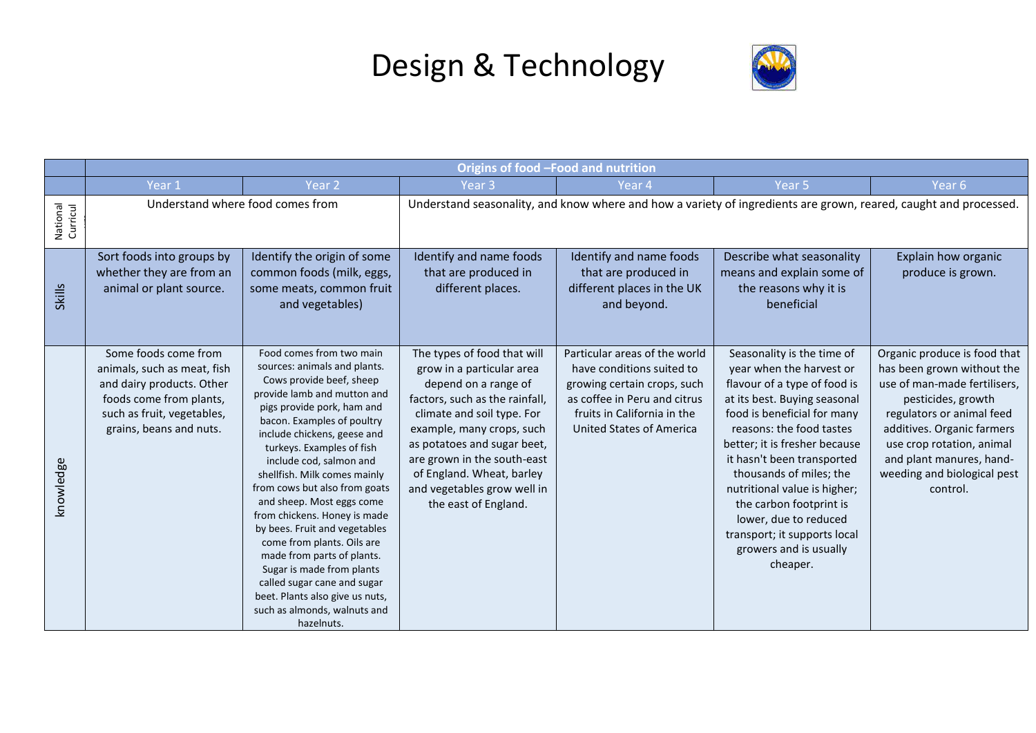

|                      | Origins of food -Food and nutrition                                                                                                                                  |                                                                                                                                                                                                                                                                                                                                                                                                                                                                                                                                                                                                                                                |                                                                                                                                                                                                                                                                                                                                 |                                                                                                                                                                                             |                                                                                                                                                                                                                                                                                                                                                                                                                                       |                                                                                                                                                                                                                                                                                 |  |  |
|----------------------|----------------------------------------------------------------------------------------------------------------------------------------------------------------------|------------------------------------------------------------------------------------------------------------------------------------------------------------------------------------------------------------------------------------------------------------------------------------------------------------------------------------------------------------------------------------------------------------------------------------------------------------------------------------------------------------------------------------------------------------------------------------------------------------------------------------------------|---------------------------------------------------------------------------------------------------------------------------------------------------------------------------------------------------------------------------------------------------------------------------------------------------------------------------------|---------------------------------------------------------------------------------------------------------------------------------------------------------------------------------------------|---------------------------------------------------------------------------------------------------------------------------------------------------------------------------------------------------------------------------------------------------------------------------------------------------------------------------------------------------------------------------------------------------------------------------------------|---------------------------------------------------------------------------------------------------------------------------------------------------------------------------------------------------------------------------------------------------------------------------------|--|--|
|                      | Year 1                                                                                                                                                               | Year <sub>2</sub>                                                                                                                                                                                                                                                                                                                                                                                                                                                                                                                                                                                                                              | Year <sub>3</sub>                                                                                                                                                                                                                                                                                                               | Year 4                                                                                                                                                                                      | Year <sub>5</sub>                                                                                                                                                                                                                                                                                                                                                                                                                     | Year <sub>6</sub>                                                                                                                                                                                                                                                               |  |  |
| National<br>Curricul |                                                                                                                                                                      | Understand where food comes from                                                                                                                                                                                                                                                                                                                                                                                                                                                                                                                                                                                                               |                                                                                                                                                                                                                                                                                                                                 |                                                                                                                                                                                             | Understand seasonality, and know where and how a variety of ingredients are grown, reared, caught and processed.                                                                                                                                                                                                                                                                                                                      |                                                                                                                                                                                                                                                                                 |  |  |
| <b>Skills</b>        | Sort foods into groups by<br>whether they are from an<br>animal or plant source.                                                                                     | Identify the origin of some<br>common foods (milk, eggs,<br>some meats, common fruit<br>and vegetables)                                                                                                                                                                                                                                                                                                                                                                                                                                                                                                                                        | Identify and name foods<br>that are produced in<br>different places.                                                                                                                                                                                                                                                            | Identify and name foods<br>that are produced in<br>different places in the UK<br>and beyond.                                                                                                | Describe what seasonality<br>means and explain some of<br>the reasons why it is<br>beneficial                                                                                                                                                                                                                                                                                                                                         | Explain how organic<br>produce is grown.                                                                                                                                                                                                                                        |  |  |
| knowledge            | Some foods come from<br>animals, such as meat, fish<br>and dairy products. Other<br>foods come from plants,<br>such as fruit, vegetables,<br>grains, beans and nuts. | Food comes from two main<br>sources: animals and plants.<br>Cows provide beef, sheep<br>provide lamb and mutton and<br>pigs provide pork, ham and<br>bacon. Examples of poultry<br>include chickens, geese and<br>turkeys. Examples of fish<br>include cod, salmon and<br>shellfish. Milk comes mainly<br>from cows but also from goats<br>and sheep. Most eggs come<br>from chickens. Honey is made<br>by bees. Fruit and vegetables<br>come from plants. Oils are<br>made from parts of plants.<br>Sugar is made from plants<br>called sugar cane and sugar<br>beet. Plants also give us nuts,<br>such as almonds, walnuts and<br>hazelnuts. | The types of food that will<br>grow in a particular area<br>depend on a range of<br>factors, such as the rainfall,<br>climate and soil type. For<br>example, many crops, such<br>as potatoes and sugar beet,<br>are grown in the south-east<br>of England. Wheat, barley<br>and vegetables grow well in<br>the east of England. | Particular areas of the world<br>have conditions suited to<br>growing certain crops, such<br>as coffee in Peru and citrus<br>fruits in California in the<br><b>United States of America</b> | Seasonality is the time of<br>year when the harvest or<br>flavour of a type of food is<br>at its best. Buying seasonal<br>food is beneficial for many<br>reasons: the food tastes<br>better; it is fresher because<br>it hasn't been transported<br>thousands of miles; the<br>nutritional value is higher;<br>the carbon footprint is<br>lower, due to reduced<br>transport; it supports local<br>growers and is usually<br>cheaper. | Organic produce is food that<br>has been grown without the<br>use of man-made fertilisers,<br>pesticides, growth<br>regulators or animal feed<br>additives. Organic farmers<br>use crop rotation, animal<br>and plant manures, hand-<br>weeding and biological pest<br>control. |  |  |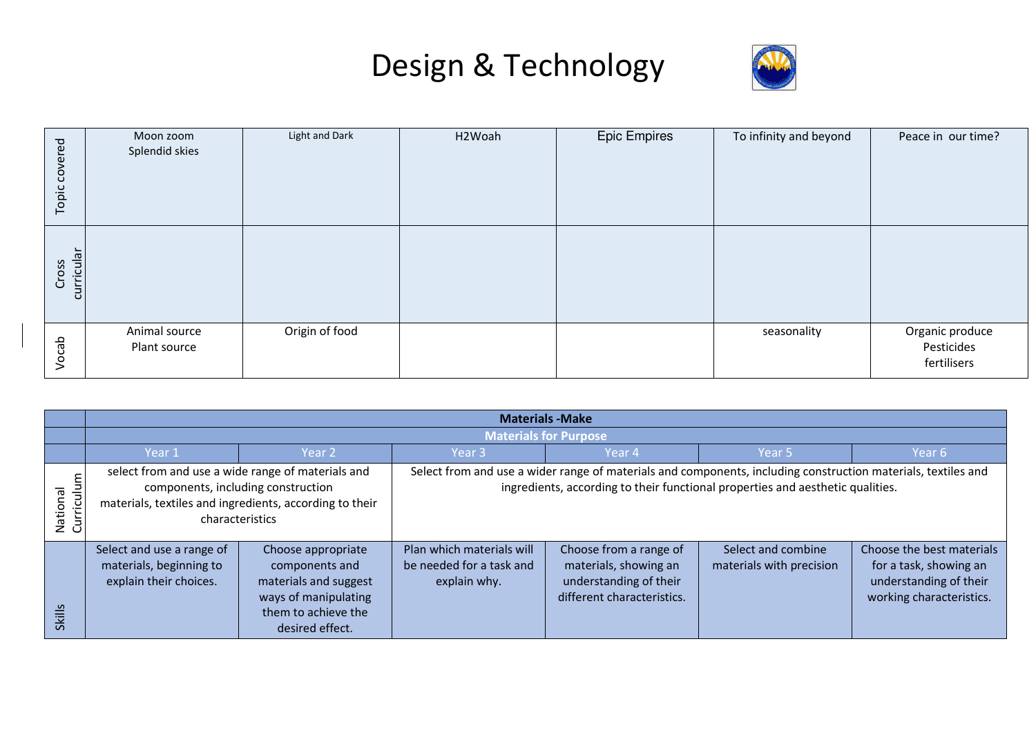

| covered<br>Topic    | Moon zoom<br>Splendid skies   | Light and Dark | H2Woah | <b>Epic Empires</b> | To infinity and beyond | Peace in our time?                           |
|---------------------|-------------------------------|----------------|--------|---------------------|------------------------|----------------------------------------------|
| Cross<br>curricular |                               |                |        |                     |                        |                                              |
| Vocab               | Animal source<br>Plant source | Origin of food |        |                     | seasonality            | Organic produce<br>Pesticides<br>fertilisers |

|                        | <b>Materials - Make</b>                                                                                                                                               |                                                                                                                                 |                                                                                                                                                                                                 |                                                                                                         |                                                |                                                                                                           |  |  |
|------------------------|-----------------------------------------------------------------------------------------------------------------------------------------------------------------------|---------------------------------------------------------------------------------------------------------------------------------|-------------------------------------------------------------------------------------------------------------------------------------------------------------------------------------------------|---------------------------------------------------------------------------------------------------------|------------------------------------------------|-----------------------------------------------------------------------------------------------------------|--|--|
|                        | <b>Materials for Purpose</b>                                                                                                                                          |                                                                                                                                 |                                                                                                                                                                                                 |                                                                                                         |                                                |                                                                                                           |  |  |
|                        | Year 1                                                                                                                                                                | Year 2                                                                                                                          | Year <sub>3</sub>                                                                                                                                                                               | Year 4                                                                                                  | Year 5                                         | Year 6                                                                                                    |  |  |
| Curriculum<br>National | select from and use a wide range of materials and<br>components, including construction<br>materials, textiles and ingredients, according to their<br>characteristics |                                                                                                                                 | Select from and use a wider range of materials and components, including construction materials, textiles and<br>ingredients, according to their functional properties and aesthetic qualities. |                                                                                                         |                                                |                                                                                                           |  |  |
| <b>Skills</b>          | Select and use a range of<br>materials, beginning to<br>explain their choices.                                                                                        | Choose appropriate<br>components and<br>materials and suggest<br>ways of manipulating<br>them to achieve the<br>desired effect. | Plan which materials will<br>be needed for a task and<br>explain why.                                                                                                                           | Choose from a range of<br>materials, showing an<br>understanding of their<br>different characteristics. | Select and combine<br>materials with precision | Choose the best materials<br>for a task, showing an<br>understanding of their<br>working characteristics. |  |  |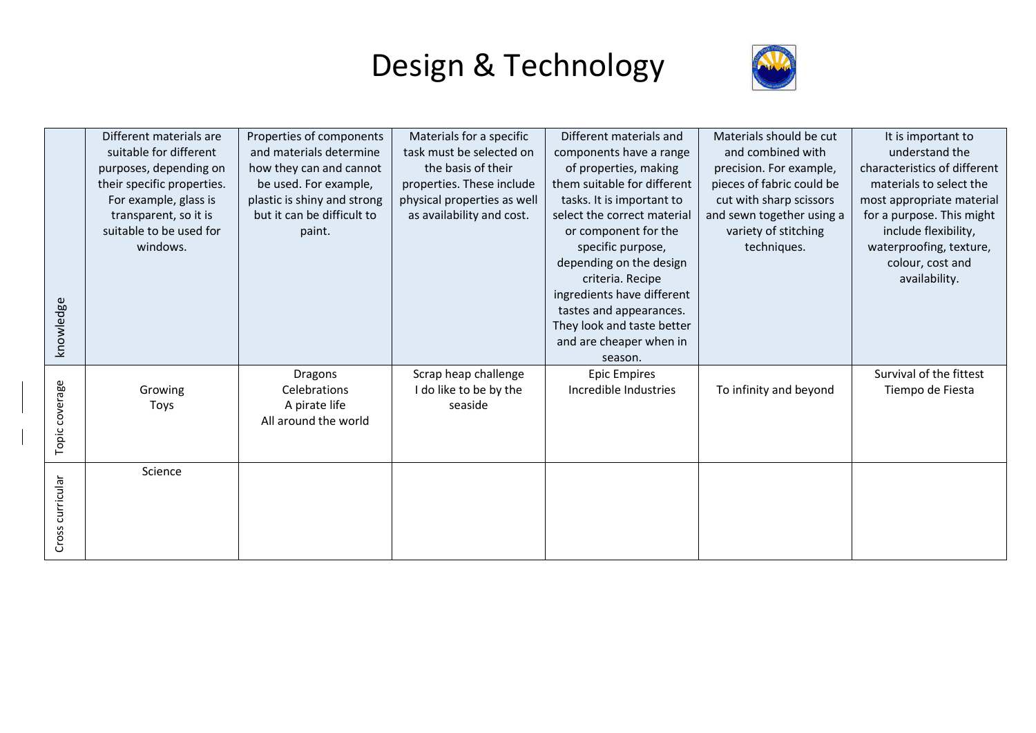

| knowledge        | Different materials are<br>suitable for different<br>purposes, depending on<br>their specific properties.<br>For example, glass is<br>transparent, so it is<br>suitable to be used for<br>windows. | Properties of components<br>and materials determine<br>how they can and cannot<br>be used. For example,<br>plastic is shiny and strong<br>but it can be difficult to<br>paint. | Materials for a specific<br>task must be selected on<br>the basis of their<br>properties. These include<br>physical properties as well<br>as availability and cost. | Different materials and<br>components have a range<br>of properties, making<br>them suitable for different<br>tasks. It is important to<br>select the correct material<br>or component for the<br>specific purpose,<br>depending on the design<br>criteria. Recipe<br>ingredients have different<br>tastes and appearances.<br>They look and taste better<br>and are cheaper when in<br>season. | Materials should be cut<br>and combined with<br>precision. For example,<br>pieces of fabric could be<br>cut with sharp scissors<br>and sewn together using a<br>variety of stitching<br>techniques. | It is important to<br>understand the<br>characteristics of different<br>materials to select the<br>most appropriate material<br>for a purpose. This might<br>include flexibility,<br>waterproofing, texture,<br>colour, cost and<br>availability. |
|------------------|----------------------------------------------------------------------------------------------------------------------------------------------------------------------------------------------------|--------------------------------------------------------------------------------------------------------------------------------------------------------------------------------|---------------------------------------------------------------------------------------------------------------------------------------------------------------------|-------------------------------------------------------------------------------------------------------------------------------------------------------------------------------------------------------------------------------------------------------------------------------------------------------------------------------------------------------------------------------------------------|-----------------------------------------------------------------------------------------------------------------------------------------------------------------------------------------------------|---------------------------------------------------------------------------------------------------------------------------------------------------------------------------------------------------------------------------------------------------|
| Topic coverage   | Growing<br>Toys                                                                                                                                                                                    | <b>Dragons</b><br>Celebrations<br>A pirate life<br>All around the world                                                                                                        | Scrap heap challenge<br>I do like to be by the<br>seaside                                                                                                           | <b>Epic Empires</b><br>Incredible Industries                                                                                                                                                                                                                                                                                                                                                    | To infinity and beyond                                                                                                                                                                              | Survival of the fittest<br>Tiempo de Fiesta                                                                                                                                                                                                       |
| Cross curricular | Science                                                                                                                                                                                            |                                                                                                                                                                                |                                                                                                                                                                     |                                                                                                                                                                                                                                                                                                                                                                                                 |                                                                                                                                                                                                     |                                                                                                                                                                                                                                                   |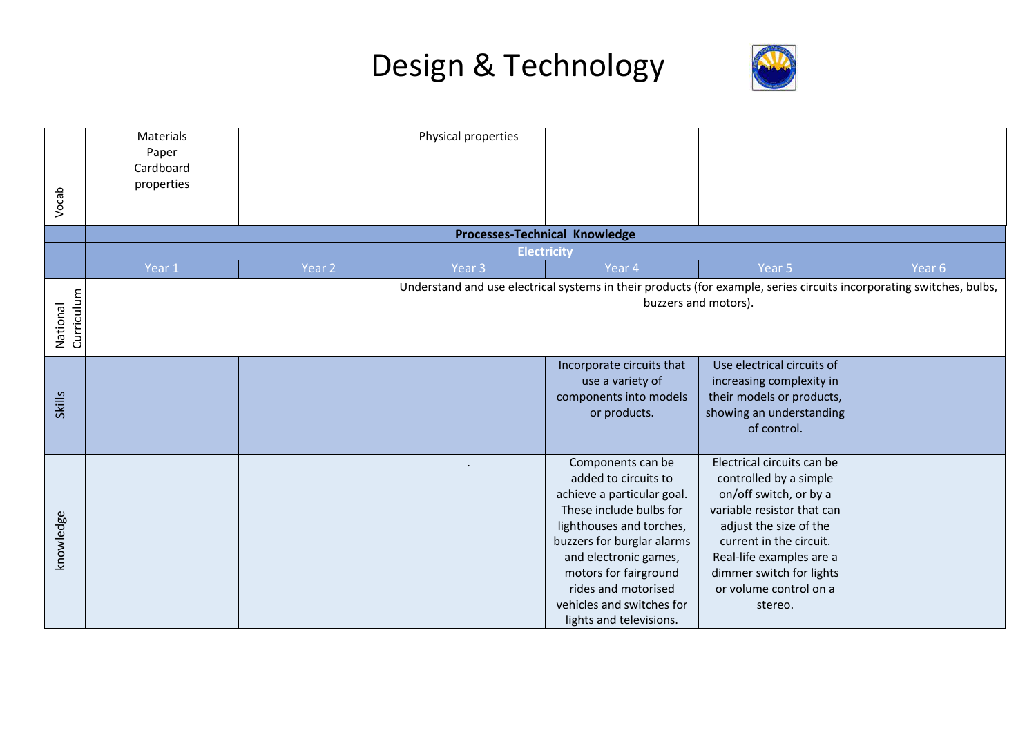

| Vocab                  | Materials<br>Paper<br>Cardboard<br>properties |                   | Physical properties |                                                                                                                                                                                                                                                                                               |                                                                                                                                                                                                                                                                |        |
|------------------------|-----------------------------------------------|-------------------|---------------------|-----------------------------------------------------------------------------------------------------------------------------------------------------------------------------------------------------------------------------------------------------------------------------------------------|----------------------------------------------------------------------------------------------------------------------------------------------------------------------------------------------------------------------------------------------------------------|--------|
|                        |                                               |                   |                     | Processes-Technical Knowledge                                                                                                                                                                                                                                                                 |                                                                                                                                                                                                                                                                |        |
|                        |                                               |                   | <b>Electricity</b>  |                                                                                                                                                                                                                                                                                               |                                                                                                                                                                                                                                                                |        |
|                        | Year 1                                        | Year <sub>2</sub> | Year <sub>3</sub>   | Year 4                                                                                                                                                                                                                                                                                        | Year 5                                                                                                                                                                                                                                                         | Year 6 |
| Curriculum<br>National |                                               |                   |                     | Understand and use electrical systems in their products (for example, series circuits incorporating switches, bulbs,<br>buzzers and motors).                                                                                                                                                  |                                                                                                                                                                                                                                                                |        |
| <b>Skills</b>          |                                               |                   |                     | Incorporate circuits that<br>use a variety of<br>components into models<br>or products.                                                                                                                                                                                                       | Use electrical circuits of<br>increasing complexity in<br>their models or products,<br>showing an understanding<br>of control.                                                                                                                                 |        |
| knowledge              |                                               |                   |                     | Components can be<br>added to circuits to<br>achieve a particular goal.<br>These include bulbs for<br>lighthouses and torches,<br>buzzers for burglar alarms<br>and electronic games,<br>motors for fairground<br>rides and motorised<br>vehicles and switches for<br>lights and televisions. | Electrical circuits can be<br>controlled by a simple<br>on/off switch, or by a<br>variable resistor that can<br>adjust the size of the<br>current in the circuit.<br>Real-life examples are a<br>dimmer switch for lights<br>or volume control on a<br>stereo. |        |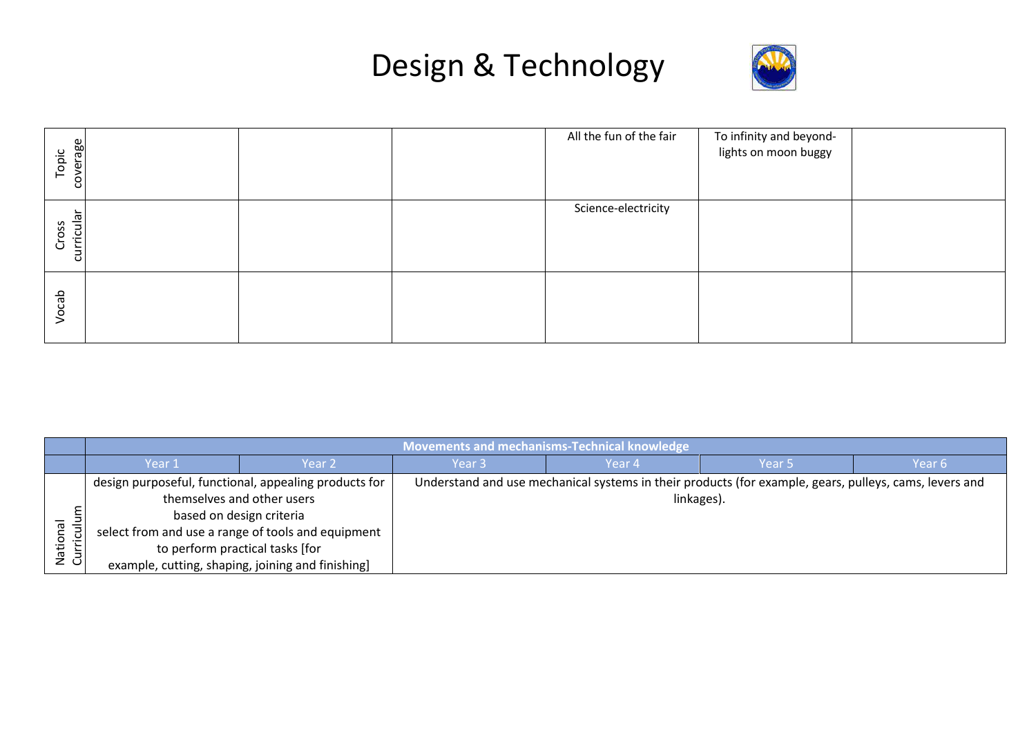

| coverage<br>opic<br>$\vdash$ |  | All the fun of the fair | To infinity and beyond-<br>lights on moon buggy |  |
|------------------------------|--|-------------------------|-------------------------------------------------|--|
| curricular<br>Cross          |  | Science-electricity     |                                                 |  |
| Vocab                        |  |                         |                                                 |  |

|             | <b>Movements and mechanisms-Technical knowledge</b>   |        |                   |                                                                                                        |                   |        |  |  |
|-------------|-------------------------------------------------------|--------|-------------------|--------------------------------------------------------------------------------------------------------|-------------------|--------|--|--|
|             | Year 1                                                | Year 2 | Year <sub>3</sub> | Year 4                                                                                                 | Year <sub>5</sub> | Year 6 |  |  |
|             | design purposeful, functional, appealing products for |        |                   | Understand and use mechanical systems in their products (for example, gears, pulleys, cams, levers and |                   |        |  |  |
|             | themselves and other users                            |        |                   | linkages).                                                                                             |                   |        |  |  |
|             | based on design criteria                              |        |                   |                                                                                                        |                   |        |  |  |
| ᢛ<br>≝      | select from and use a range of tools and equipment    |        |                   |                                                                                                        |                   |        |  |  |
| Nati<br>Cur | to perform practical tasks [for                       |        |                   |                                                                                                        |                   |        |  |  |
|             | example, cutting, shaping, joining and finishing]     |        |                   |                                                                                                        |                   |        |  |  |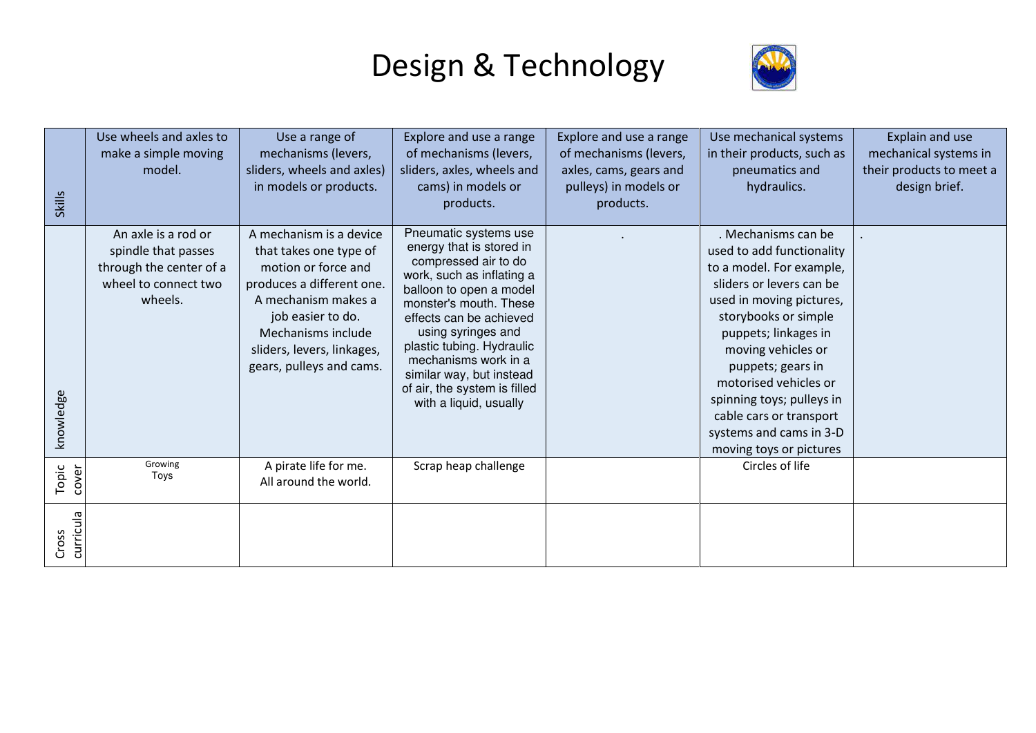

| <b>Skills</b>      | Use wheels and axles to<br>make a simple moving<br>model.                                                | Use a range of<br>mechanisms (levers,<br>sliders, wheels and axles)<br>in models or products.                                                                                                                                     | Explore and use a range<br>of mechanisms (levers,<br>sliders, axles, wheels and<br>cams) in models or<br>products.                                                                                                                                                                                                                                      | Explore and use a range<br>of mechanisms (levers,<br>axles, cams, gears and<br>pulleys) in models or<br>products. | Use mechanical systems<br>in their products, such as<br>pneumatics and<br>hydraulics.                                                                                                                                                                                                                                                                                  | Explain and use<br>mechanical systems in<br>their products to meet a<br>design brief. |
|--------------------|----------------------------------------------------------------------------------------------------------|-----------------------------------------------------------------------------------------------------------------------------------------------------------------------------------------------------------------------------------|---------------------------------------------------------------------------------------------------------------------------------------------------------------------------------------------------------------------------------------------------------------------------------------------------------------------------------------------------------|-------------------------------------------------------------------------------------------------------------------|------------------------------------------------------------------------------------------------------------------------------------------------------------------------------------------------------------------------------------------------------------------------------------------------------------------------------------------------------------------------|---------------------------------------------------------------------------------------|
| knowledge          | An axle is a rod or<br>spindle that passes<br>through the center of a<br>wheel to connect two<br>wheels. | A mechanism is a device<br>that takes one type of<br>motion or force and<br>produces a different one.<br>A mechanism makes a<br>job easier to do.<br>Mechanisms include<br>sliders, levers, linkages,<br>gears, pulleys and cams. | Pneumatic systems use<br>energy that is stored in<br>compressed air to do<br>work, such as inflating a<br>balloon to open a model<br>monster's mouth. These<br>effects can be achieved<br>using syringes and<br>plastic tubing. Hydraulic<br>mechanisms work in a<br>similar way, but instead<br>of air, the system is filled<br>with a liquid, usually |                                                                                                                   | . Mechanisms can be<br>used to add functionality<br>to a model. For example,<br>sliders or levers can be<br>used in moving pictures,<br>storybooks or simple<br>puppets; linkages in<br>moving vehicles or<br>puppets; gears in<br>motorised vehicles or<br>spinning toys; pulleys in<br>cable cars or transport<br>systems and cams in 3-D<br>moving toys or pictures |                                                                                       |
| Topic<br>cover     | Growing<br>Toys                                                                                          | A pirate life for me.<br>All around the world.                                                                                                                                                                                    | Scrap heap challenge                                                                                                                                                                                                                                                                                                                                    |                                                                                                                   | Circles of life                                                                                                                                                                                                                                                                                                                                                        |                                                                                       |
| curricula<br>Cross |                                                                                                          |                                                                                                                                                                                                                                   |                                                                                                                                                                                                                                                                                                                                                         |                                                                                                                   |                                                                                                                                                                                                                                                                                                                                                                        |                                                                                       |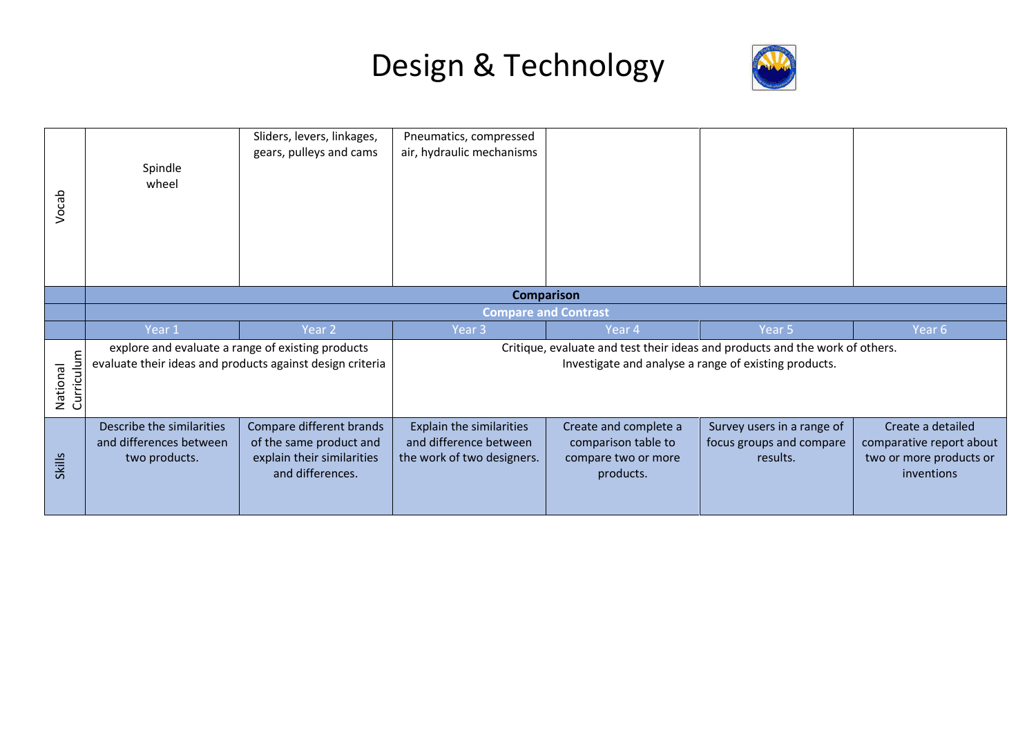

|                               |                             | Sliders, levers, linkages,<br>gears, pulleys and cams                                                          | Pneumatics, compressed<br>air, hydraulic mechanisms |                                                       |                                                                              |        |  |  |
|-------------------------------|-----------------------------|----------------------------------------------------------------------------------------------------------------|-----------------------------------------------------|-------------------------------------------------------|------------------------------------------------------------------------------|--------|--|--|
| Vocab                         | Spindle<br>wheel            |                                                                                                                |                                                     |                                                       |                                                                              |        |  |  |
|                               | <b>Comparison</b>           |                                                                                                                |                                                     |                                                       |                                                                              |        |  |  |
|                               | <b>Compare and Contrast</b> |                                                                                                                |                                                     |                                                       |                                                                              |        |  |  |
|                               | Year 1                      | Year <sub>2</sub>                                                                                              | Year <sub>3</sub>                                   | Year 4                                                | Year 5                                                                       | Year 6 |  |  |
|                               |                             |                                                                                                                |                                                     |                                                       |                                                                              |        |  |  |
| <b>Curriculum</b><br>National |                             | explore and evaluate a range of existing products<br>evaluate their ideas and products against design criteria |                                                     | Investigate and analyse a range of existing products. | Critique, evaluate and test their ideas and products and the work of others. |        |  |  |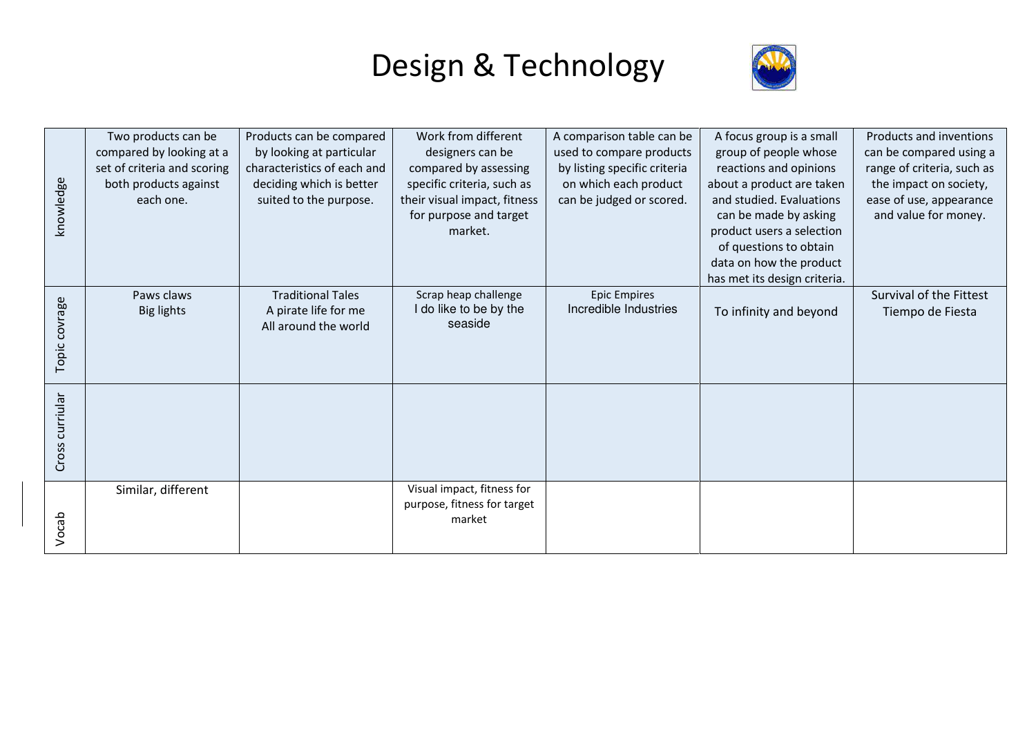

|                 | Two products can be         | Products can be compared    | Work from different          | A comparison table can be    | A focus group is a small     | Products and inventions    |
|-----------------|-----------------------------|-----------------------------|------------------------------|------------------------------|------------------------------|----------------------------|
|                 | compared by looking at a    | by looking at particular    | designers can be             | used to compare products     | group of people whose        | can be compared using a    |
|                 | set of criteria and scoring | characteristics of each and | compared by assessing        | by listing specific criteria | reactions and opinions       | range of criteria, such as |
|                 | both products against       | deciding which is better    | specific criteria, such as   | on which each product        | about a product are taken    | the impact on society,     |
| knowledge       | each one.                   | suited to the purpose.      | their visual impact, fitness | can be judged or scored.     | and studied. Evaluations     | ease of use, appearance    |
|                 |                             |                             | for purpose and target       |                              | can be made by asking        | and value for money.       |
|                 |                             |                             | market.                      |                              | product users a selection    |                            |
|                 |                             |                             |                              |                              | of questions to obtain       |                            |
|                 |                             |                             |                              |                              | data on how the product      |                            |
|                 |                             |                             |                              |                              | has met its design criteria. |                            |
|                 | Paws claws                  | <b>Traditional Tales</b>    | Scrap heap challenge         | <b>Epic Empires</b>          |                              | Survival of the Fittest    |
|                 | Big lights                  | A pirate life for me        | I do like to be by the       | Incredible Industries        | To infinity and beyond       | Tiempo de Fiesta           |
|                 |                             | All around the world        | seaside                      |                              |                              |                            |
|                 |                             |                             |                              |                              |                              |                            |
| Topic covrage   |                             |                             |                              |                              |                              |                            |
|                 |                             |                             |                              |                              |                              |                            |
|                 |                             |                             |                              |                              |                              |                            |
| Cross curriular |                             |                             |                              |                              |                              |                            |
|                 |                             |                             |                              |                              |                              |                            |
|                 |                             |                             |                              |                              |                              |                            |
|                 |                             |                             |                              |                              |                              |                            |
|                 |                             |                             |                              |                              |                              |                            |
|                 | Similar, different          |                             | Visual impact, fitness for   |                              |                              |                            |
|                 |                             |                             | purpose, fitness for target  |                              |                              |                            |
| Vocab           |                             |                             | market                       |                              |                              |                            |
|                 |                             |                             |                              |                              |                              |                            |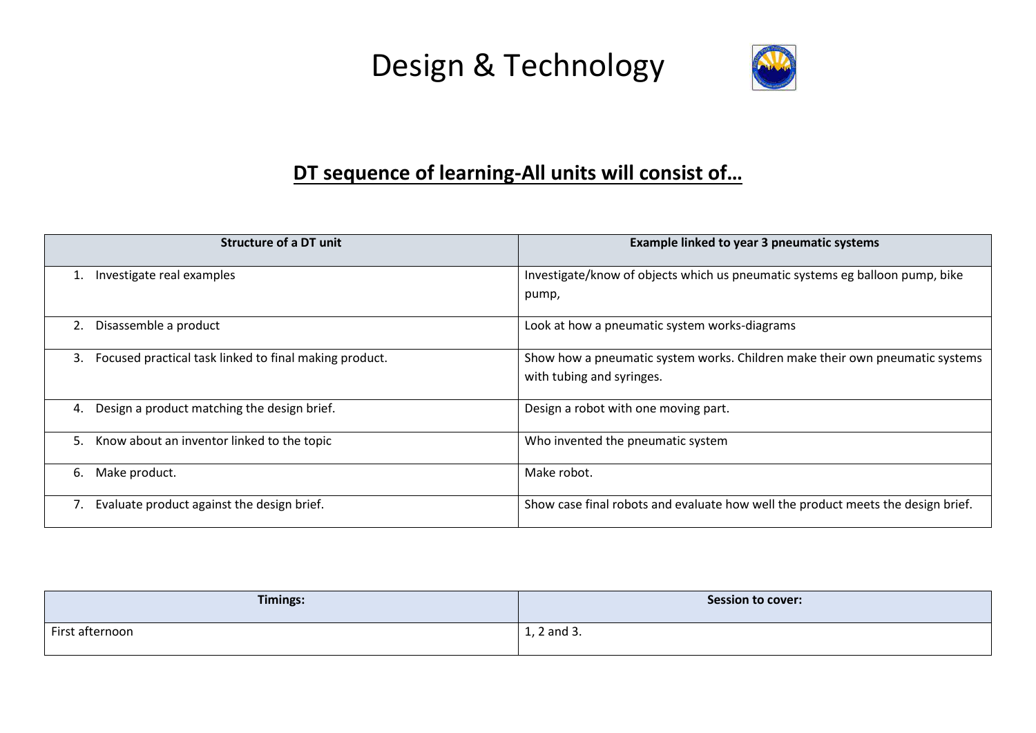

### **DT sequence of learning-All units will consist of…**

| Structure of a DT unit                                       | Example linked to year 3 pneumatic systems                                                                |
|--------------------------------------------------------------|-----------------------------------------------------------------------------------------------------------|
| Investigate real examples                                    | Investigate/know of objects which us pneumatic systems eg balloon pump, bike<br>pump,                     |
| Disassemble a product<br>2.                                  | Look at how a pneumatic system works-diagrams                                                             |
| Focused practical task linked to final making product.<br>3. | Show how a pneumatic system works. Children make their own pneumatic systems<br>with tubing and syringes. |
| Design a product matching the design brief.<br>4.            | Design a robot with one moving part.                                                                      |
| 5.<br>Know about an inventor linked to the topic             | Who invented the pneumatic system                                                                         |
| Make product.<br>6.                                          | Make robot.                                                                                               |
| Evaluate product against the design brief.                   | Show case final robots and evaluate how well the product meets the design brief.                          |

| <b>Timings:</b> | <b>Session to cover:</b> |
|-----------------|--------------------------|
| First afternoon | 1, 2 and 3.              |